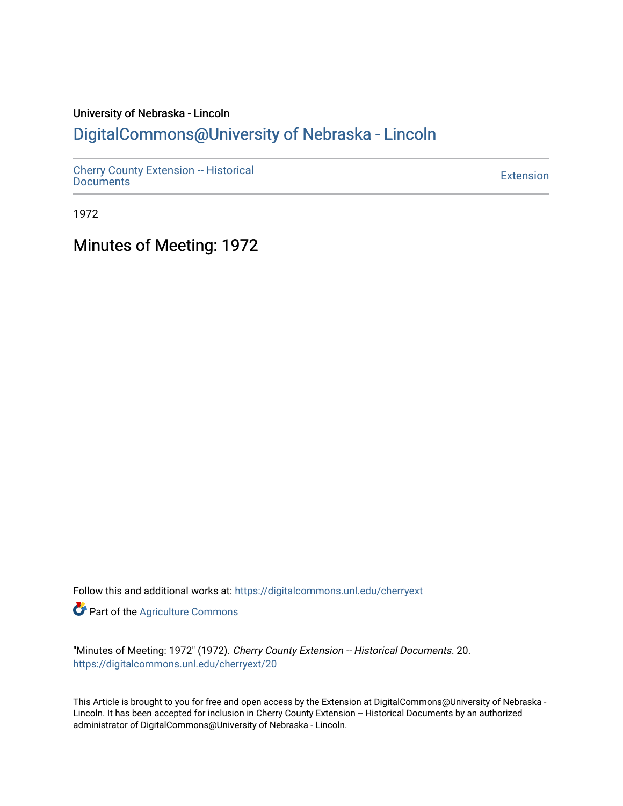## University of Nebraska - Lincoln [DigitalCommons@University of Nebraska - Lincoln](https://digitalcommons.unl.edu/)

[Cherry County Extension -- Historical](https://digitalcommons.unl.edu/cherryext)  [Documents](https://digitalcommons.unl.edu/cherryext) [Extension](https://digitalcommons.unl.edu/coop_extension) 

1972

Minutes of Meeting: 1972

Follow this and additional works at: [https://digitalcommons.unl.edu/cherryext](https://digitalcommons.unl.edu/cherryext?utm_source=digitalcommons.unl.edu%2Fcherryext%2F20&utm_medium=PDF&utm_campaign=PDFCoverPages) 

**Part of the [Agriculture Commons](http://network.bepress.com/hgg/discipline/1076?utm_source=digitalcommons.unl.edu%2Fcherryext%2F20&utm_medium=PDF&utm_campaign=PDFCoverPages)** 

"Minutes of Meeting: 1972" (1972). Cherry County Extension -- Historical Documents. 20. [https://digitalcommons.unl.edu/cherryext/20](https://digitalcommons.unl.edu/cherryext/20?utm_source=digitalcommons.unl.edu%2Fcherryext%2F20&utm_medium=PDF&utm_campaign=PDFCoverPages)

This Article is brought to you for free and open access by the Extension at DigitalCommons@University of Nebraska - Lincoln. It has been accepted for inclusion in Cherry County Extension -- Historical Documents by an authorized administrator of DigitalCommons@University of Nebraska - Lincoln.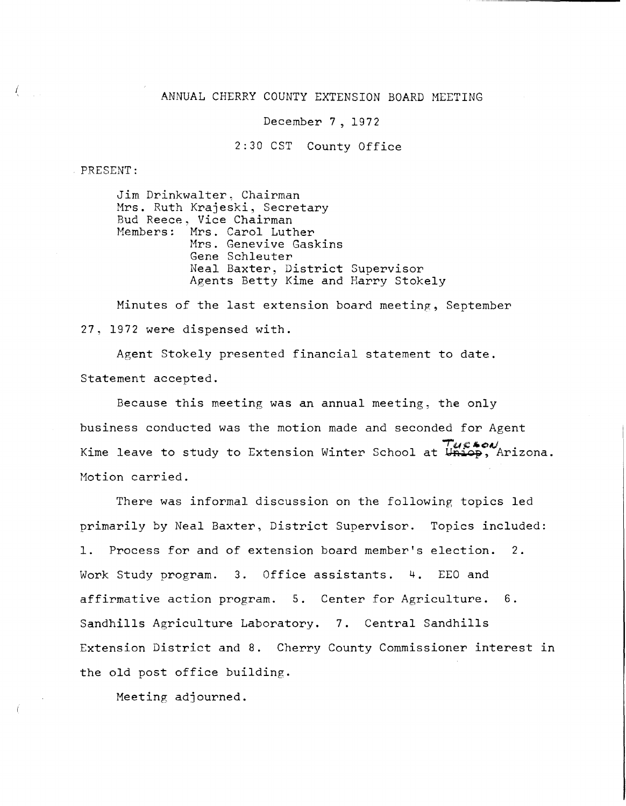#### ANNUAL CHERRY COUNTY EXTENSION BOARD MEETING

December 7, 1972

2:30 CST County Office

PRESENT:

Jim Drinkwalter, Chairman Mrs. Ruth Krajeski, Secretary Bud Reece, Vice Chairman<br>Members: Mrs. Carol Lutl Mrs. Carol Luther Mrs. Genevive Gaskins Gene Schleuter Neal Baxter, District Supervisor Agents Betty Kime and Harry Stokely

Minutes of the last extension board meeting, September 27, 1972 were dispensed with.

Agent Stokely presented financial statement to date. Statement accepted.

Because this meeting was an annual meeting, the only business conducted was the motion made and seconded for Agent . 702%00<br>.Kime leave to study to Extension Winter School at Uniop, Arizona Motion carried.

There was informal discussion on the following topics led primarily by Neal Baxter, District Supervisor. Topics included: 1. Process for and of extension board member's election. 2. Work Study program. 3. Office assistants. 4. EEO and affirmative action program. 5. Center for Agriculture. 6. Sandhills Agriculture Laboratory. 7. Central Sandhills Extension District and 8. Cherry County Commissioner interest in the old post office building.

Meeting adjourned.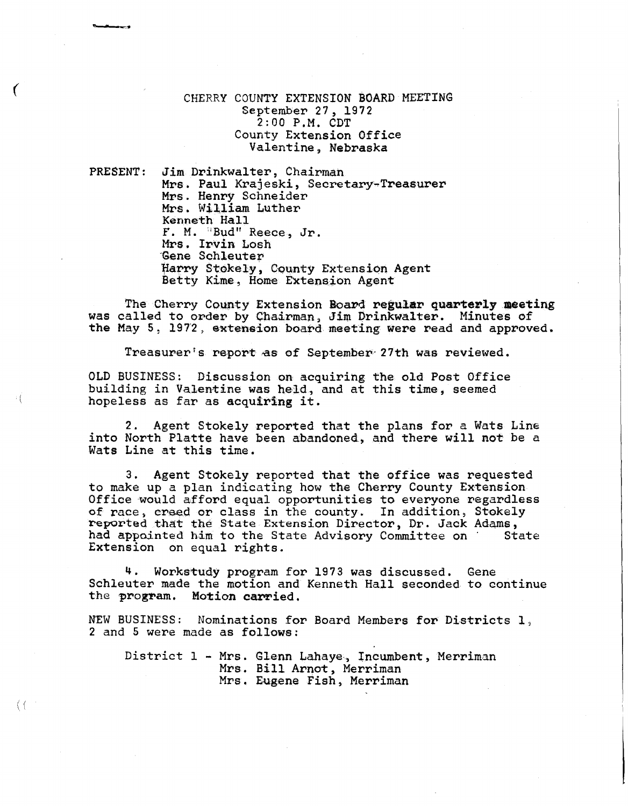### CHERRY COUNTY EXTENSION BOARD MEETING September 27,1972 2:00 P.M. CDT County Extension Office Valentine, Nebraska

PRESENT: Jim Drinkwalter, Chairman Mrs. Paul Krajeski, Secretary-Treasurer Mrs. Henry Schneider Mrs. William Luther Kenneth Hall F. M. "Bud" Reece, Jr. Mrs. Irvin Losh 'Gene Schleuter Harry Stokely, County Extension Agent<br>Betty Kime, Home Extension Agent

The Cherry County Extension Board regular quarterly meeting was called to order by Chairman, Jim Drinkwalter. Minutes of the May 5, 1972, extension board meeting were read and approved.

Treasurer's report as of September- 27th was reviewed.

OLD BUSINESS: Discussion on acquiring the old Post Office building in Valentine was held, and at this time, seemed hopeless as far as acquiring it.

2. Agent Stokely reported that the plans for a Wats Line into North Platte have been abandoned, and there will not be a Wats Line at this time.

3. Agent Stokely reported that the office was requested to make up a plan indicating how the Cherry County Extension Office would afford equal opportunities to everyone regardless of race, creed or class in the county. In addition, Stokely<br>reported that the State Extension Director, Dr. Jack Adams,<br>had appointed him to the State Advisory Committee on State had appointed him to the State Advisory Committee on Extension on equal rights.

4. Workstudy program for 1973 was discussed. Gene Schleuter made the motion and Kenneth Hall seconded to continue the program. Motion carried.

NEW BUSINESS: Nominations for Board Members for Districts 1. 2 and 5 were made as follows:

District 1 - Mrs. Glenn Lahaye, lncumbent, Merriman Mrs. Bill Arnot, Merriman Mrs. Eugene Fish, Merriman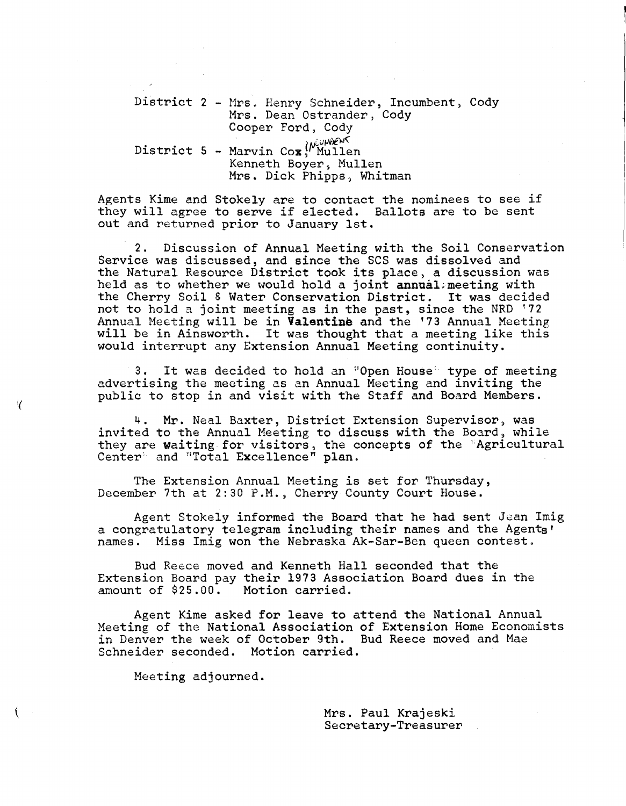District 2 - Mrs. Henry Schneider, Incumbent, Cody District 5 - Marvin Cox<sup>{Mullen}</sup><br>Kenneth Boyer, Mullen Mrs. Dean Ostrander, Cody Cooper Ford, Cody Kenneth Boyer, Mullen<br>Mrs. Dick Phipps, Whitman

Agents Kime and Stokely are to contact the nominees to see if they will agree to serve if elected. Ballots are to be sent out and returned prior to January 1st.

2. Discussion of Annual Meeting with the Soil Conservation Service was discussed, and since the SCS was dissolved and the Natural Resource District took its place, a discussion was held as to whether we would hold a joint annual meeting with the Cherry Soil & Water Conservation District. It was decided not to hold a joint meeting as in the past, since the NRD '72 Annual Meeting will be in **Valentine** and the '73 Annual Meeting will be in Ainsworth. It was thought that a meeting like this would interrupt any Extension Annual Meeting continuity.

3. It was decided to hold an "Open House" type of meeting advertising the meeting as an Annual Meeting and inviting the public to stop in and visit with the Staff and Board Members.

4. Mr. Neal Baxter, District Extension Supervisor, was invited to the Annual Meeting to discuss with the Board, while they are waiting for visitors, the concepts of the 'Agricultural Center<sup>®</sup> and "Total Excellence" plan.

The Extension Annual Meeting is set for Thursday, December 7th at 2:30 P.M.) Cherry County Court House.

Agent Stokely informed the Board that he had sent Jean Imig a congratulatory telegram including their names and the Agents' names. Miss Imig won the Nebraska Ak-Sar-Ben queen contest.

Bud Reece moved and Kenneth Hall seconded that the Extension Board pay their 1973 Association Board dues in the amount of \$25.00. Motion carried.

Agent Kime asked for leave to attend the National Annual Meeting of the National Association of Extension Home Economists in Denver the week of October 9th. Bud Reece moved and Mae Schneider seconded. Motion carried.

Meeting adjourned.

Mrs. Paul Krajeski Secretary-Treasurer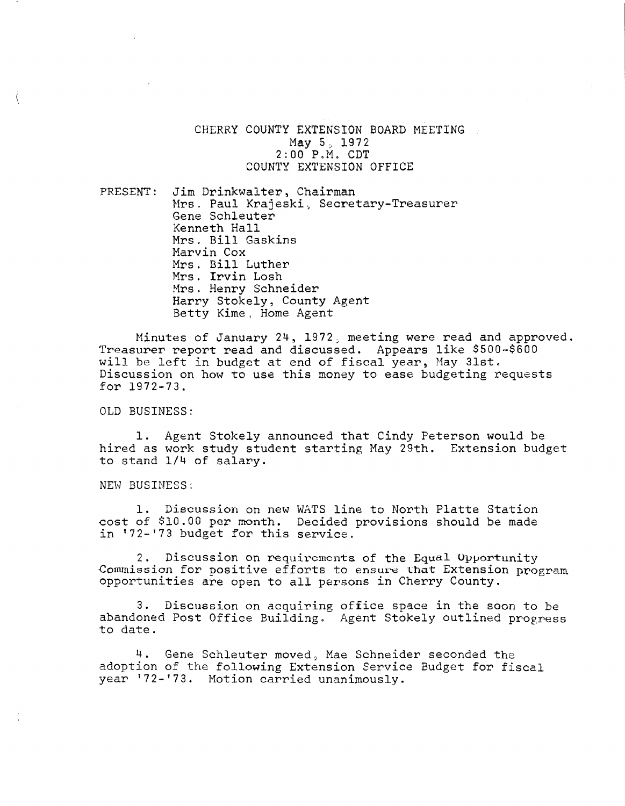CHERRY COUNTY EXTENSION BOARD MEETING May 5, 1972  $2:00$   $P.M.$  CDT COUNTY EXTENSION OFFICE

PRESENT: Jim Drinkwalter, Chairman Mrs. Paul Krajeski, Secretary-Treasurer Gene Schleuter Kenneth Hall Mrs. Bill Gaskins Marvin Cox Mrs. Bill Luther Mrs. Irvin Losh Mrs. Henry Schneider Harry Stokely, County Agent Betty Kime, Home Agent

Minutes of January 24, 1972; meeting were read and approved. Treasurer report read and discussed. Appears like \$500-\$600 will be left in budget at end of fiscal year, May 31st. Discussion on how to use this money to ease budgeting requests for 1972-73.

OLD BUSINESS:

1. Agent Stokely announced that Cindy Peterson would be hired as work study student starting May 29th. Extension budget to stand *1/4* of salary.

NEW BUSINESS:

1. Discussion on new WATS line to North Platte Station cost of \$10.00 per month. Decided provisions should be made in '72-'73 budget for this service.

2. Discussion on requirements of the Equal Opportunity Commission for positive efforts to ensure that Extension program opportunities are open to all persons in Cherry County.

3. Discussion on acquiring office space in the soon to be abandoned Post Office Building. Agent Stokely outlined progress to date.

4. Gene Schleuter moved, Mae Schneider seconded the adoption of the following Extension Service Budget for fiscal year '72-'73. Motion carried unanimously.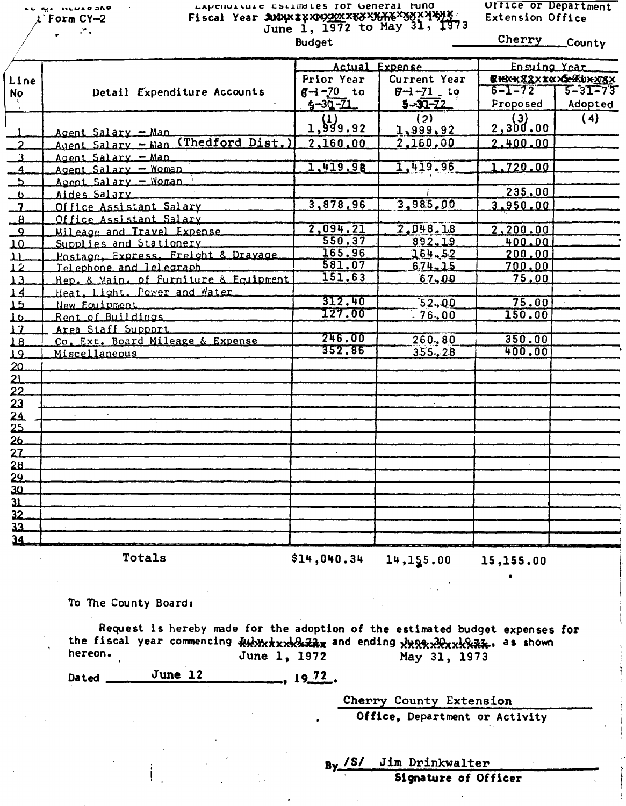**HENTA DIVA** t`Form CY-2  $\mathcal{L}_{\mathcal{A}}$ 

# Experient curse established IOP General fund Fiscal Year *SUDUX & X DOOO OF A ANDUX & X AS X MAX* X AS X A A YOU June 1, 1972 to May 31, 1973<br>Budget Budget Cherry County

Ufflce or Department Extension Office

|                          |                                       |                                              |               | Ensuing Year              |               |
|--------------------------|---------------------------------------|----------------------------------------------|---------------|---------------------------|---------------|
| Line                     |                                       | Actual Expense<br>Prior Year<br>Current Year |               | <b>CHKXZZXXXXSHIDKXXX</b> |               |
|                          | Detail Expenditure Accounts           | $6 - 70$ to                                  | $6 - 71 - 10$ | $6 - 1 - 72$              | $5 - 31 - 73$ |
| <b>No</b>                |                                       | $5 - 30 - 71$                                | $5 - 30 - 72$ | <b>Proposed</b>           | Adopted       |
|                          |                                       |                                              |               |                           |               |
|                          |                                       | 1,999.92                                     | (2)           | 2,300.00                  | (4)           |
|                          | Agent Salary - Man                    |                                              | 1,999,92      |                           |               |
| $\overline{2}$           | Agent Salary - Man (Thedford Dist.)   | 2,160.00                                     | 2,160,00      | 2.400.00                  |               |
| $\mathbf{R}$             | Agent Salary - Man                    |                                              |               |                           |               |
| $\overline{\phantom{a}}$ | Agent Salary - Woman                  | 1,419.98                                     | 1,419.96      | 1,720.00                  |               |
| <u>لہ</u>                | Agent Salary - Woman                  |                                              |               |                           |               |
| <u>್ರ</u>                | Aides Salary                          |                                              |               | 235.00                    |               |
| $\overline{\phantom{a}}$ | Office Assistant Salary               | 3,878,96                                     | 3,985,00      | 3.950.00                  |               |
| $\overline{\mathbf{B}}$  | Office Assistant Salary               |                                              |               |                           |               |
| $\overline{9}$           | Mileage and Travel Expense            | 2,094.21                                     | 2,048.18      | 2,200.00                  |               |
| 10                       | Supplies and Stationery               | 550.37                                       | 892.19        | 400.00                    |               |
| $\overline{\mathbf{u}}$  | Postage, Express, Freight & Drayage   | 165.96                                       | 164.52        | 200.00                    |               |
| $\overline{12}$          | Telephone and lelegraph               | 581.07                                       | $6.74 - 1.5$  | 700,00                    |               |
| 13                       | Rep. & Main. of Furniture & Equipment | 151.63                                       | 67,00         | 75,00                     |               |
| 14                       | Heat, Light, Power and Water          |                                              |               |                           |               |
| 15                       | New Equipment                         | 312.40                                       | 52,00         | 75.00                     |               |
| 10                       | Rent of Buildings                     | 127.00                                       | $-76,00$      | 150.00                    |               |
| $\mathbf{L}$             | Area Staff Support                    |                                              |               |                           |               |
| 18                       | Co. Ext. Board Mileage & Expense      | 246.00                                       | 260.80        | 350.00                    |               |
| 19.                      | Miscellaneous                         | 352.86                                       | $355 - 28$    | 400.00                    |               |
| 20                       |                                       |                                              |               |                           |               |
| 21                       |                                       |                                              |               |                           |               |
| 22                       |                                       |                                              |               |                           |               |
| 23                       |                                       |                                              |               |                           |               |
| 24                       |                                       |                                              |               |                           |               |
| 25                       |                                       |                                              |               |                           |               |
| 26                       |                                       |                                              |               |                           |               |
| 27                       |                                       |                                              |               |                           |               |
| 28                       |                                       |                                              |               |                           |               |
| 29.                      |                                       |                                              |               |                           |               |
| 30                       |                                       |                                              |               |                           |               |
| $\mathbf{u}$             |                                       |                                              |               |                           |               |
| 32                       |                                       |                                              |               |                           |               |
| 33.                      |                                       |                                              |               |                           |               |
|                          |                                       |                                              |               |                           |               |
| 34                       |                                       |                                              |               |                           |               |

Totals  $$14,040.34$   $14,155.00$  15,155.00

•

I I

To The County Board:

Request is hereby made for the adoption of the estimated budget expenses for the fiscal year commencing  $\frac{1}{2}$  the state and ending  $\frac{1}{2}$  the state, as shown hereon. June 1, 1972 May 31, 1973

Dated  $\frac{\text{June } 12}{\text{June } 12}$ , 19.72.

Cherry County Extension

Office, Department or Activity

By /S/ Jim Drinkwalter

Signature of Officer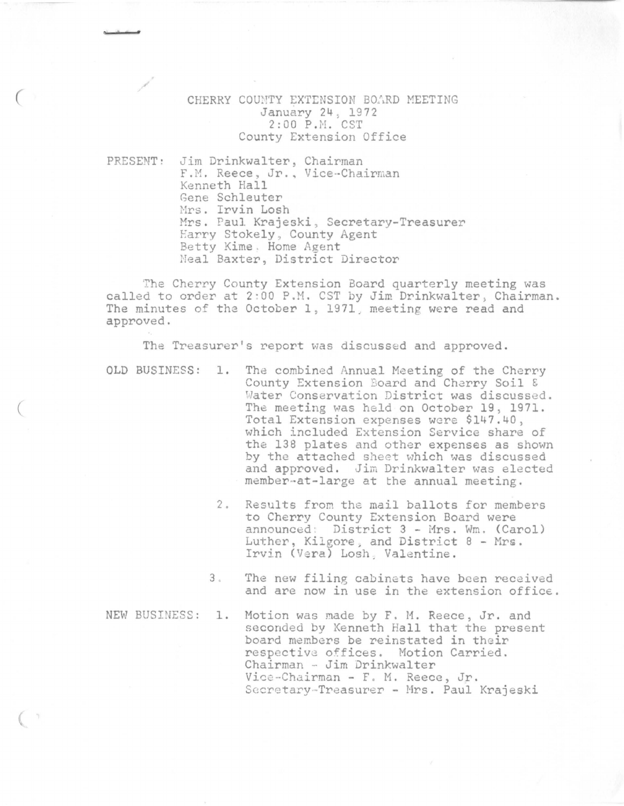### CHERRY COUNTY EXTENSION BOARD MEETING January 24 \ 1972 2:00 P.H. CST County Extension Office

PRESENT: Jim Drinkwalter, Chairman F.M. Reece, Jr., Vice-Chairman Kenneth Hall Gene Schleuter Mrs. Irvin Losh Mrs. Paul Krajeski, Secretary-Treasurer Earry Stokely , County Agent Betty Kime . Home Agent Neal Baxter, District Director

The Cherry County Extension Board quarterly meeting was called to order at 2:00 P.M. CST by Jim Drinkwalter, Chairman. The minutes of the October 1, 1971, meeting were read and approved.

The Treasurer's report was discussed and approved.

- OLD BUSINESS: 1. The combined Annual Meeting of the Cherry County Extension Board and Charry Soil & Water Conservation District was discussed. The meeting was held on October 19, 1971. Total Extension expenses were \$147.40, which included Extension Service share of the 138 plates and other expenses as shown by the attached sheet which was discussed and approved. Jim Drinkwalter was elected member-at-large at the annual meeting.
	- 2. Results from the mail ballots for members to Cherry County Extension Board were announced: District 3 - Mrs. Wm. (Carol) Luther, Kilgore, and District 8 - Mrs. Irvin (Vera) Losh, Valentine.
	- 3 . The new filing cabinets have been received and are now in use in the extension office.

NEW BUSINESS: 1. Motion was made by F. M. Reece, Jr. and seconded by Kenneth Hall that the present board members be reinstated in their respective offices. Motion Carried. Chairman - Jim Drinkwalter Vice-Chairman - F. M. Reece, Jr. Secretary-Treasurer - Mrs. Paul Krajeski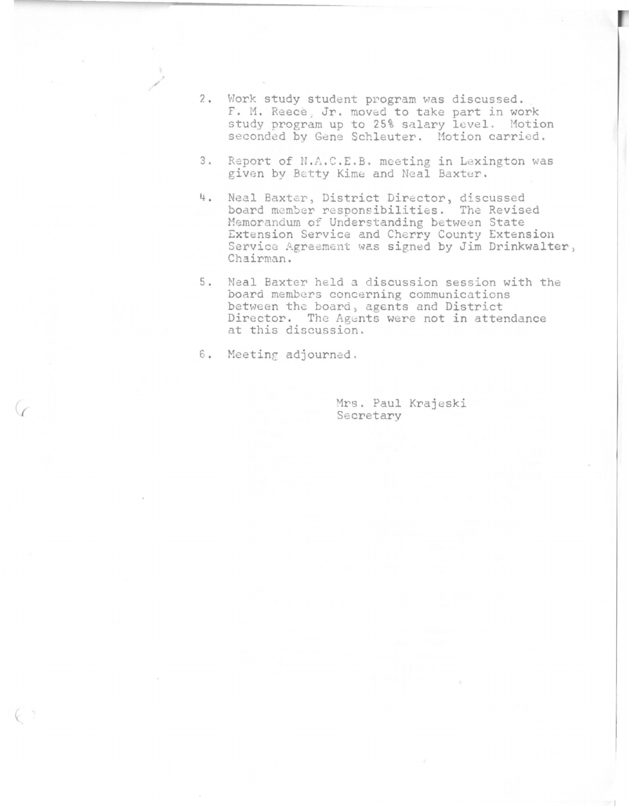- 2 Work study student program was discussed. F. M. Reece. Jr. moved to take part in work study program up to 25% salary level. Motion seconded by Gene Schleuter. Motion carried.
- 3 . Report of N.A.C.E.B. meeting in Lexington was given by Betty Kime and Neal Baxter.
- 4 . Neal Baxter, District Director, discussed board member responsibilities. The Revised Memorandum of Understanding between State Extension Service and Cherry County Extension Service Agreement was signed by Jim Drinkwalter, Chairman.
- 5 Neal Baxter held *a* discussion session with the board members concerning communications between the board, agents and District Director. The Agents were not in attendance at this discussion.
- 6. Meeting adjourned.

/

Mrs. Paul Krajeski Secretary